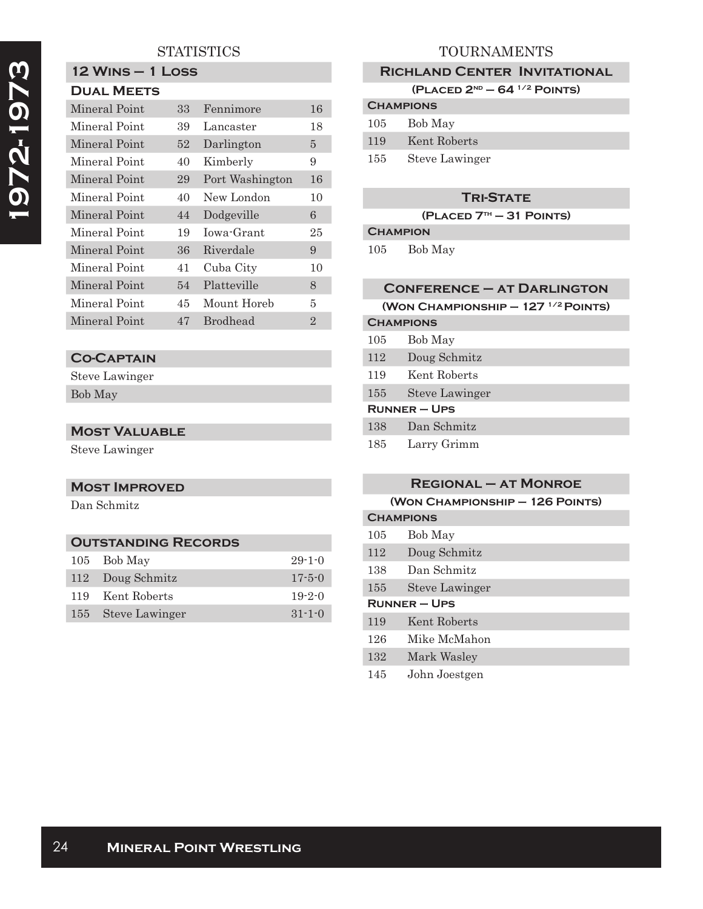# **STATISTICS**

# **1972-1973**  1972-1973

#### **12 Wins – 1 Loss Dual Meets**

| PUAL MELIJ    |    |                 |                |
|---------------|----|-----------------|----------------|
| Mineral Point | 33 | Fennimore       | 16             |
| Mineral Point | 39 | Lancaster       | 18             |
| Mineral Point | 52 | Darlington      | 5              |
| Mineral Point | 40 | Kimberly        | 9              |
| Mineral Point | 29 | Port Washington | 16             |
| Mineral Point | 40 | New London      | 10             |
| Mineral Point | 44 | Dodgeville      | 6              |
| Mineral Point | 19 | Iowa-Grant      | 25             |
| Mineral Point | 36 | Riverdale       | 9              |
| Mineral Point | 41 | Cuba City       | 10             |
| Mineral Point | 54 | Platteville     | 8              |
| Mineral Point | 45 | Mount Horeb     | 5              |
| Mineral Point | 47 | <b>Brodhead</b> | $\overline{2}$ |

### **Co-Captain**

Steve Lawinger Bob May

#### **Most Valuable**

Steve Lawinger

# **Most Improved**

Dan Schmitz

# **Outstanding Records**

| 105 Bob May        | $29 - 1 - 0$ |
|--------------------|--------------|
| 112 Doug Schmitz   | $17 - 5 - 0$ |
| 119 Kent Roberts   | $19-2-0$     |
| 155 Steve Lawinger | $31 - 1 - 0$ |

# TOURNAMENTS

#### **Richland Center Invitational**

**(Placed 2nd – 64 1/2 Points)**

| <b>CHAMPIONS</b> |                       |  |
|------------------|-----------------------|--|
|                  | 105 Bob May           |  |
| 119              | Kent Roberts          |  |
| 155              | <b>Steve Lawinger</b> |  |

### **Tri-State**

**(Placed 7th – 31 Points)**

#### **Champion**

105 Bob May

#### **Conference – at Darlington**

|  | (WON CHAMPIONSHIP $-127$ <sup>1/2</sup> POINTS) |  |
|--|-------------------------------------------------|--|
|  |                                                 |  |

# **Champions** 105 Bob May

- 112 Doug Schmitz
- 119 Kent Roberts
- 155 Steve Lawinger

#### **Runner – Ups**

| 138 | Dan Schmitz |
|-----|-------------|
|-----|-------------|

#### **Regional – at Monroe**

# **(Won Championship – 126 Points)**

| <b>CHAMPIONS</b>    |                       |
|---------------------|-----------------------|
| 105                 | Bob May               |
| 112                 | Doug Schmitz          |
| 138                 | Dan Schmitz           |
| 155                 | <b>Steve Lawinger</b> |
| <b>RUNNER - UPS</b> |                       |
| 119                 | Kent Roberts          |
| 126                 | Mike McMahon          |
| 132                 | Mark Wasley           |
| 145                 | John Joestgen         |